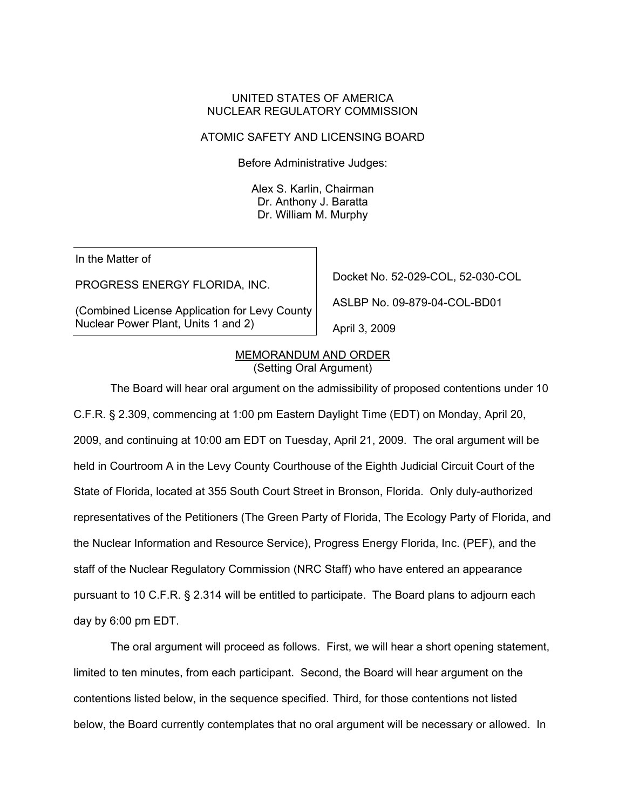### UNITED STATES OF AMERICA NUCLEAR REGULATORY COMMISSION

## ATOMIC SAFETY AND LICENSING BOARD

Before Administrative Judges:

Alex S. Karlin, Chairman Dr. Anthony J. Baratta Dr. William M. Murphy

In the Matter of

PROGRESS ENERGY FLORIDA, INC.

(Combined License Application for Levy County Nuclear Power Plant, Units 1 and 2)

Docket No. 52-029-COL, 52-030-COL

ASLBP No. 09-879-04-COL-BD01

April 3, 2009

#### MEMORANDUM AND ORDER (Setting Oral Argument)

 The Board will hear oral argument on the admissibility of proposed contentions under 10 C.F.R. § 2.309, commencing at 1:00 pm Eastern Daylight Time (EDT) on Monday, April 20, 2009, and continuing at 10:00 am EDT on Tuesday, April 21, 2009. The oral argument will be held in Courtroom A in the Levy County Courthouse of the Eighth Judicial Circuit Court of the State of Florida, located at 355 South Court Street in Bronson, Florida. Only duly-authorized representatives of the Petitioners (The Green Party of Florida, The Ecology Party of Florida, and the Nuclear Information and Resource Service), Progress Energy Florida, Inc. (PEF), and the staff of the Nuclear Regulatory Commission (NRC Staff) who have entered an appearance pursuant to 10 C.F.R. § 2.314 will be entitled to participate. The Board plans to adjourn each day by 6:00 pm EDT.

 The oral argument will proceed as follows. First, we will hear a short opening statement, limited to ten minutes, from each participant. Second, the Board will hear argument on the contentions listed below, in the sequence specified. Third, for those contentions not listed below, the Board currently contemplates that no oral argument will be necessary or allowed. In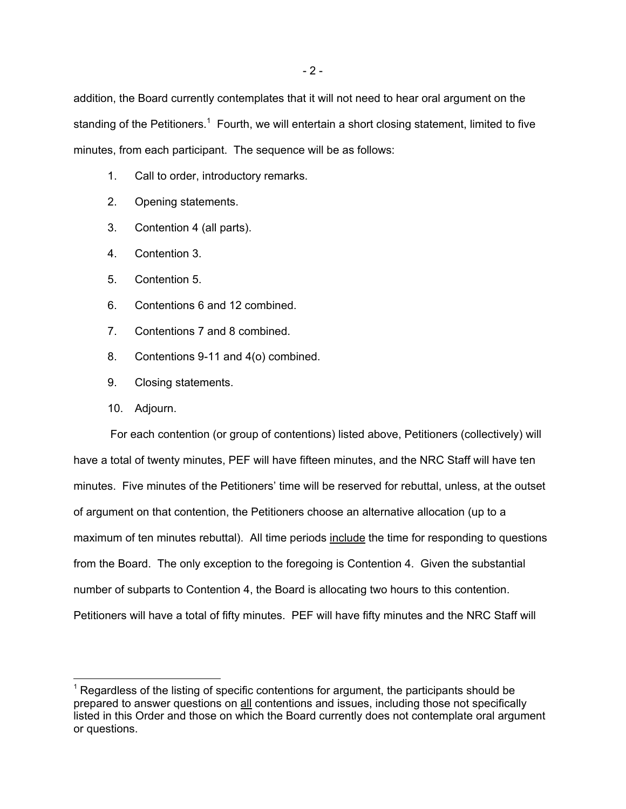addition, the Board currently contemplates that it will not need to hear oral argument on the standing of the Petitioners.<sup>1</sup> Fourth, we will entertain a short closing statement, limited to five minutes, from each participant. The sequence will be as follows:

- 1. Call to order, introductory remarks.
- 2. Opening statements.
- 3. Contention 4 (all parts).
- 4. Contention 3.
- 5. Contention 5.
- 6. Contentions 6 and 12 combined.
- 7. Contentions 7 and 8 combined.
- 8. Contentions 9-11 and 4(o) combined.
- 9. Closing statements.
- 10. Adjourn.

-

For each contention (or group of contentions) listed above, Petitioners (collectively) will have a total of twenty minutes, PEF will have fifteen minutes, and the NRC Staff will have ten minutes. Five minutes of the Petitioners' time will be reserved for rebuttal, unless, at the outset of argument on that contention, the Petitioners choose an alternative allocation (up to a maximum of ten minutes rebuttal). All time periods include the time for responding to questions from the Board. The only exception to the foregoing is Contention 4. Given the substantial number of subparts to Contention 4, the Board is allocating two hours to this contention. Petitioners will have a total of fifty minutes. PEF will have fifty minutes and the NRC Staff will

 $<sup>1</sup>$  Regardless of the listing of specific contentions for argument, the participants should be</sup> prepared to answer questions on all contentions and issues, including those not specifically listed in this Order and those on which the Board currently does not contemplate oral argument or questions.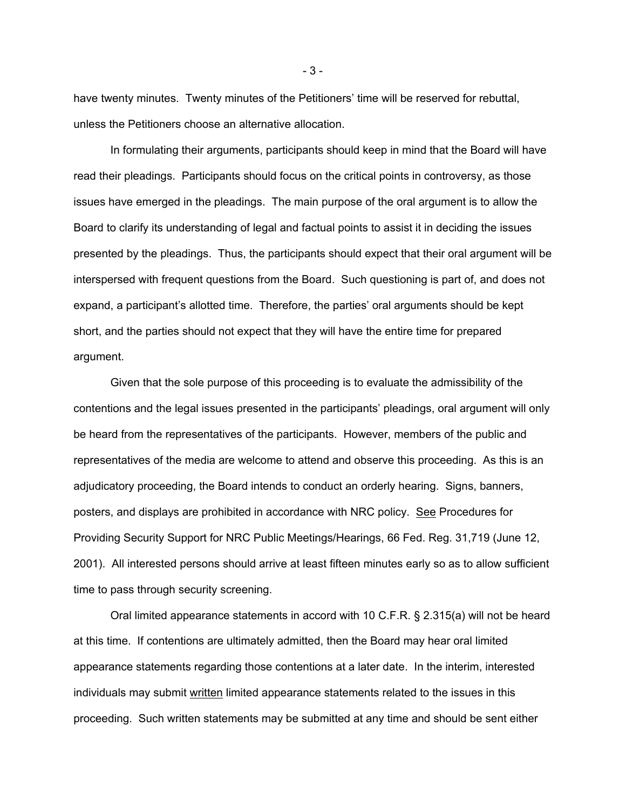have twenty minutes. Twenty minutes of the Petitioners' time will be reserved for rebuttal, unless the Petitioners choose an alternative allocation.

 In formulating their arguments, participants should keep in mind that the Board will have read their pleadings. Participants should focus on the critical points in controversy, as those issues have emerged in the pleadings. The main purpose of the oral argument is to allow the Board to clarify its understanding of legal and factual points to assist it in deciding the issues presented by the pleadings. Thus, the participants should expect that their oral argument will be interspersed with frequent questions from the Board. Such questioning is part of, and does not expand, a participant's allotted time. Therefore, the parties' oral arguments should be kept short, and the parties should not expect that they will have the entire time for prepared argument.

 Given that the sole purpose of this proceeding is to evaluate the admissibility of the contentions and the legal issues presented in the participants' pleadings, oral argument will only be heard from the representatives of the participants. However, members of the public and representatives of the media are welcome to attend and observe this proceeding. As this is an adjudicatory proceeding, the Board intends to conduct an orderly hearing. Signs, banners, posters, and displays are prohibited in accordance with NRC policy. See Procedures for Providing Security Support for NRC Public Meetings/Hearings, 66 Fed. Reg. 31,719 (June 12, 2001). All interested persons should arrive at least fifteen minutes early so as to allow sufficient time to pass through security screening.

 Oral limited appearance statements in accord with 10 C.F.R. § 2.315(a) will not be heard at this time. If contentions are ultimately admitted, then the Board may hear oral limited appearance statements regarding those contentions at a later date. In the interim, interested individuals may submit written limited appearance statements related to the issues in this proceeding. Such written statements may be submitted at any time and should be sent either

- 3 -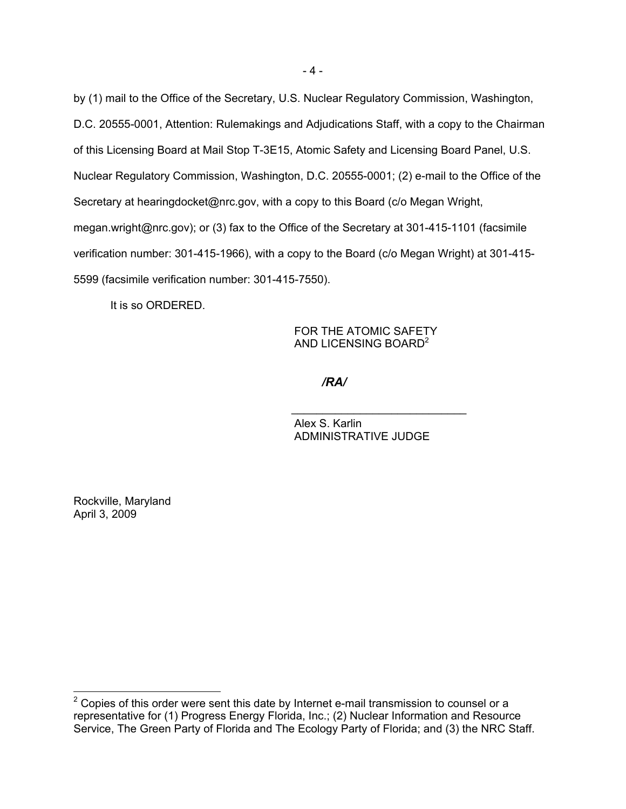by (1) mail to the Office of the Secretary, U.S. Nuclear Regulatory Commission, Washington, D.C. 20555-0001, Attention: Rulemakings and Adjudications Staff, with a copy to the Chairman of this Licensing Board at Mail Stop T-3E15, Atomic Safety and Licensing Board Panel, U.S. Nuclear Regulatory Commission, Washington, D.C. 20555-0001; (2) e-mail to the Office of the Secretary at hearingdocket@nrc.gov, with a copy to this Board (c/o Megan Wright, megan.wright@nrc.gov); or (3) fax to the Office of the Secretary at 301-415-1101 (facsimile verification number: 301-415-1966), with a copy to the Board (c/o Megan Wright) at 301-415- 5599 (facsimile verification number: 301-415-7550).

It is so ORDERED.

 FOR THE ATOMIC SAFETY AND LICENSING BOARD<sup>2</sup>

*/RA/*

Alex S. Karlin ADMINISTRATIVE JUDGE

\_\_\_\_\_\_\_\_\_\_\_\_\_\_\_\_\_\_\_\_\_\_\_\_\_\_\_\_

Rockville, Maryland April 3, 2009

 $\overline{a}$ 

 $2$  Copies of this order were sent this date by Internet e-mail transmission to counsel or a representative for (1) Progress Energy Florida, Inc.; (2) Nuclear Information and Resource Service, The Green Party of Florida and The Ecology Party of Florida; and (3) the NRC Staff.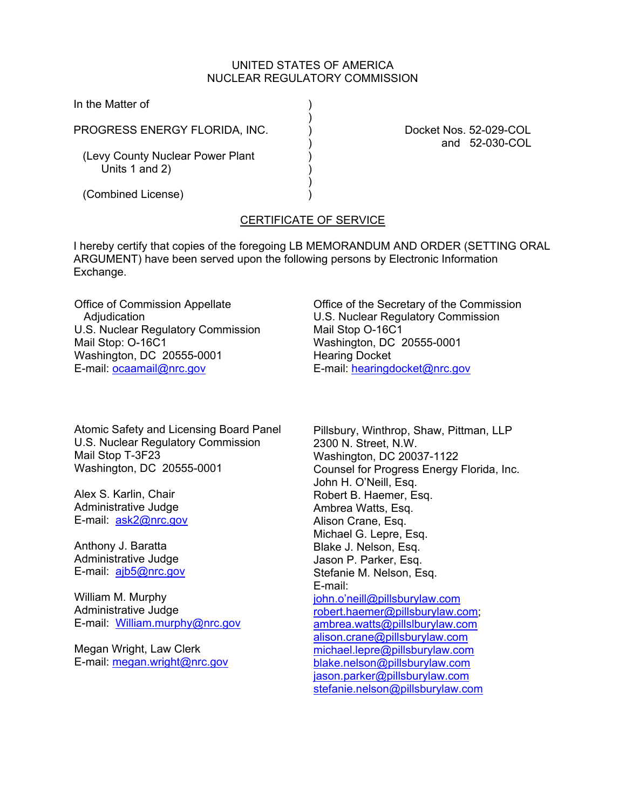## UNITED STATES OF AMERICA NUCLEAR REGULATORY COMMISSION

In the Matter of )

PROGRESS ENERGY FLORIDA, INC.  $\qquad \qquad$  Docket Nos. 52-029-COL

 $)$ 

 $)$ 

(Levy County Nuclear Power Plant Units  $1$  and  $2$ )

) and 52-030-COL

(Combined License) )

# CERTIFICATE OF SERVICE

I hereby certify that copies of the foregoing LB MEMORANDUM AND ORDER (SETTING ORAL ARGUMENT) have been served upon the following persons by Electronic Information Exchange.

Office of Commission Appellate **Adiudication** U.S. Nuclear Regulatory Commission Mail Stop: O-16C1 Washington, DC 20555-0001 E-mail: ocaamail@nrc.gov

Atomic Safety and Licensing Board Panel U.S. Nuclear Regulatory Commission Mail Stop T-3F23 Washington, DC 20555-0001

Alex S. Karlin, Chair Administrative Judge E-mail: ask2@nrc.gov

Anthony J. Baratta Administrative Judge E-mail: ajb5@nrc.gov

William M. Murphy Administrative Judge E-mail: William.murphy@nrc.gov

Megan Wright, Law Clerk E-mail: megan.wright@nrc.gov Office of the Secretary of the Commission U.S. Nuclear Regulatory Commission Mail Stop O-16C1 Washington, DC 20555-0001 Hearing Docket E-mail: hearingdocket@nrc.gov

Pillsbury, Winthrop, Shaw, Pittman, LLP 2300 N. Street, N.W. Washington, DC 20037-1122 Counsel for Progress Energy Florida, Inc. John H. O'Neill, Esq. Robert B. Haemer, Esq. Ambrea Watts, Esq. Alison Crane, Esq. Michael G. Lepre, Esq. Blake J. Nelson, Esq. Jason P. Parker, Esq. Stefanie M. Nelson, Esq. E-mail: john.o'neill@pillsburylaw.com robert.haemer@pillsburylaw.com; ambrea.watts@pillslburylaw.com alison.crane@pillsburylaw.com michael.lepre@pillsburylaw.com blake.nelson@pillsburylaw.com jason.parker@pillsburylaw.com stefanie.nelson@pillsburylaw.com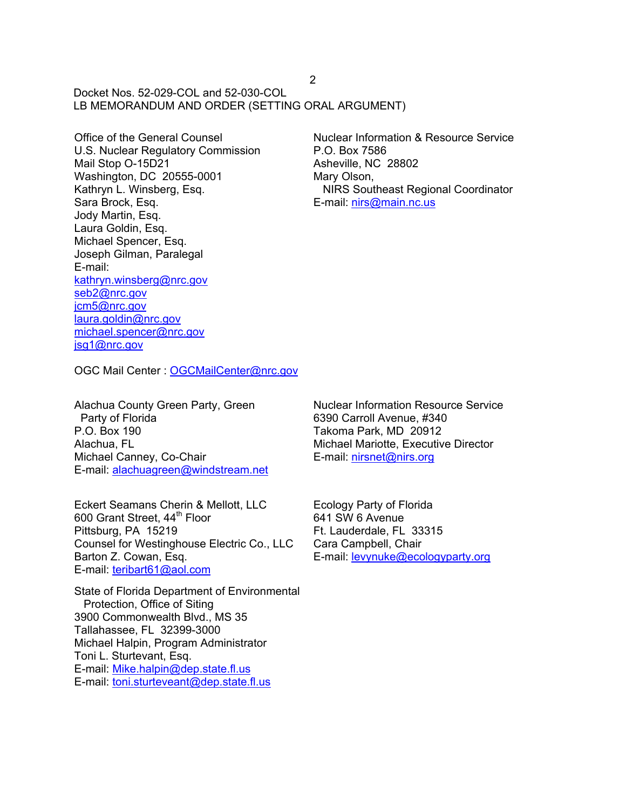Docket Nos. 52-029-COL and 52-030-COL LB MEMORANDUM AND ORDER (SETTING ORAL ARGUMENT)

Office of the General Counsel U.S. Nuclear Regulatory Commission Mail Stop O-15D21 Washington, DC 20555-0001 Kathryn L. Winsberg, Esq. Sara Brock, Esq. Jody Martin, Esq. Laura Goldin, Esq. Michael Spencer, Esq. Joseph Gilman, Paralegal E-mail: kathryn.winsberg@nrc.gov seb2@nrc.gov jcm5@nrc.gov laura.goldin@nrc.gov michael.spencer@nrc.gov jsg1@nrc.gov

Nuclear Information & Resource Service P.O. Box 7586 Asheville, NC 28802 Mary Olson, NIRS Southeast Regional Coordinator E-mail: nirs@main.nc.us

OGC Mail Center : OGCMailCenter@nrc.gov

Alachua County Green Party, Green Party of Florida P.O. Box 190 Alachua, FL Michael Canney, Co-Chair E-mail: alachuagreen@windstream.net

Eckert Seamans Cherin & Mellott, LLC 600 Grant Street, 44<sup>th</sup> Floor Pittsburg, PA 15219 Counsel for Westinghouse Electric Co., LLC Barton Z. Cowan, Esq. E-mail: teribart61@aol.com

State of Florida Department of Environmental Protection, Office of Siting 3900 Commonwealth Blvd., MS 35 Tallahassee, FL 32399-3000 Michael Halpin, Program Administrator Toni L. Sturtevant, Esq. E-mail: Mike.halpin@dep.state.fl.us E-mail: toni.sturteveant@dep.state.fl.us

Nuclear Information Resource Service 6390 Carroll Avenue, #340 Takoma Park, MD 20912 Michael Mariotte, Executive Director E-mail: nirsnet@nirs.org

Ecology Party of Florida 641 SW 6 Avenue Ft. Lauderdale, FL 33315 Cara Campbell, Chair E-mail: levynuke@ecologyparty.org